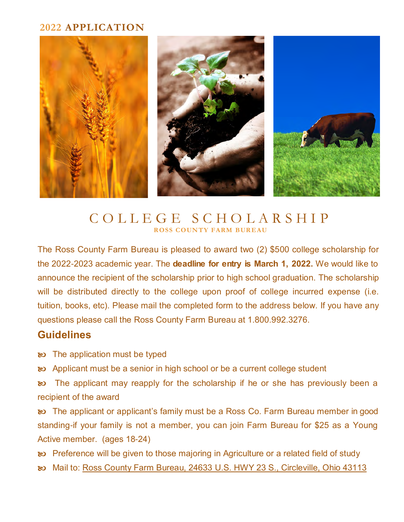### **2022 APPLICATION**



# C O L L E G E S C H O L A R S H I P **ROSS COUNTY FARM BUREAU**

The Ross County Farm Bureau is pleased to award two (2) \$500 college scholarship for the 2022-2023 academic year. The **deadline for entry is March 1, 2022.** We would like to announce the recipient of the scholarship prior to high school graduation. The scholarship will be distributed directly to the college upon proof of college incurred expense (i.e. tuition, books, etc). Please mail the completed form to the address below. If you have any questions please call the Ross County Farm Bureau at 1.800.992.3276.

# **Guidelines**

- $\infty$  The application must be typed
- Applicant must be a senior in high school or be a current college student

**EXED** The applicant may reapply for the scholarship if he or she has previously been a recipient of the award

**EXED:** The applicant or applicant's family must be a Ross Co. Farm Bureau member in good standing-if your family is not a member, you can join Farm Bureau for \$25 as a Young Active member. (ages 18-24)

**By** Preference will be given to those majoring in Agriculture or a related field of study

Mail to: Ross County Farm Bureau, 24633 U.S. HWY 23 S., Circleville, Ohio 43113